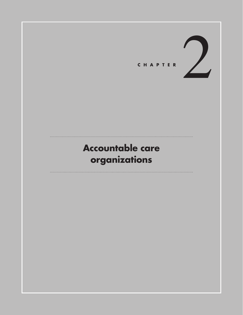

# **Accountable care organizations**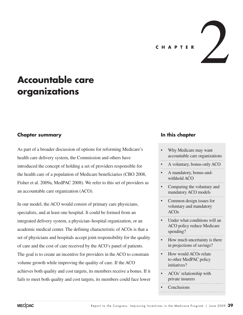**<sup>C</sup> <sup>H</sup> <sup>A</sup> PTER** 2

# **Accountable care organizations**

## **Chapter summary**

As part of a broader discussion of options for reforming Medicare's health care delivery system, the Commission and others have introduced the concept of holding a set of providers responsible for the health care of a population of Medicare beneficiaries (CBO 2008, Fisher et al. 2009a, MedPAC 2008). We refer to this set of providers as an accountable care organization (ACO).

In our model, the ACO would consist of primary care physicians, specialists, and at least one hospital. It could be formed from an integrated delivery system, a physician–hospital organization, or an academic medical center. The defining characteristic of ACOs is that a set of physicians and hospitals accept joint responsibility for the quality of care and the cost of care received by the ACO's panel of patients. The goal is to create an incentive for providers in the ACO to constrain volume growth while improving the quality of care. If the ACO achieves both quality and cost targets, its members receive a bonus. If it fails to meet both quality and cost targets, its members could face lower

#### **In this chapter**

- Why Medicare may want accountable care organizations
- A voluntary, bonus-only ACO
- A mandatory, bonus-andwithhold ACO
- Comparing the voluntary and mandatory ACO models
- Common design issues for voluntary and mandatory ACOs
- Under what conditions will an ACO policy reduce Medicare spending?
- How much uncertainty is there in projections of savings?
- How would ACOs relate to other MedPAC policy initiatives?
- ACOs' relationship with private insurers
- **Conclusions**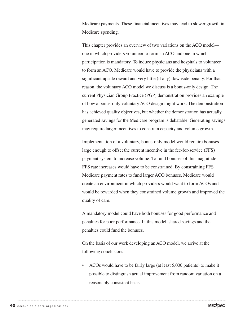Medicare payments. These financial incentives may lead to slower growth in Medicare spending.

This chapter provides an overview of two variations on the ACO model one in which providers volunteer to form an ACO and one in which participation is mandatory. To induce physicians and hospitals to volunteer to form an ACO, Medicare would have to provide the physicians with a significant upside reward and very little (if any) downside penalty. For that reason, the voluntary ACO model we discuss is a bonus-only design. The current Physician Group Practice (PGP) demonstration provides an example of how a bonus-only voluntary ACO design might work. The demonstration has achieved quality objectives, but whether the demonstration has actually generated savings for the Medicare program is debatable. Generating savings may require larger incentives to constrain capacity and volume growth.

Implementation of a voluntary, bonus-only model would require bonuses large enough to offset the current incentive in the fee-for-service (FFS) payment system to increase volume. To fund bonuses of this magnitude, FFS rate increases would have to be constrained. By constraining FFS Medicare payment rates to fund larger ACO bonuses, Medicare would create an environment in which providers would want to form ACOs and would be rewarded when they constrained volume growth and improved the quality of care.

A mandatory model could have both bonuses for good performance and penalties for poor performance. In this model, shared savings and the penalties could fund the bonuses.

On the basis of our work developing an ACO model, we arrive at the following conclusions:

ACOs would have to be fairly large (at least 5,000 patients) to make it possible to distinguish actual improvement from random variation on a reasonably consistent basis.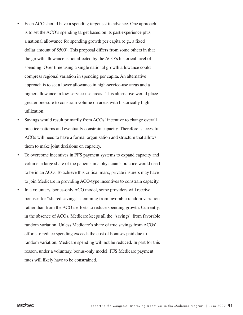- Each ACO should have a spending target set in advance. One approach is to set the ACO's spending target based on its past experience plus a national allowance for spending growth per capita (e.g., a fixed dollar amount of \$500). This proposal differs from some others in that the growth allowance is not affected by the ACO's historical level of spending. Over time using a single national growth allowance could compress regional variation in spending per capita. An alternative approach is to set a lower allowance in high-service-use areas and a higher allowance in low-service-use areas. This alternative would place greater pressure to constrain volume on areas with historically high utilization.
- Savings would result primarily from ACOs' incentive to change overall practice patterns and eventually constrain capacity. Therefore, successful ACOs will need to have a formal organization and structure that allows them to make joint decisions on capacity.
- To overcome incentives in FFS payment systems to expand capacity and volume, a large share of the patients in a physician's practice would need to be in an ACO. To achieve this critical mass, private insurers may have to join Medicare in providing ACO-type incentives to constrain capacity.
- In a voluntary, bonus-only ACO model, some providers will receive bonuses for "shared savings" stemming from favorable random variation rather than from the ACO's efforts to reduce spending growth. Currently, in the absence of ACOs, Medicare keeps all the "savings" from favorable random variation. Unless Medicare's share of true savings from ACOs' efforts to reduce spending exceeds the cost of bonuses paid due to random variation, Medicare spending will not be reduced. In part for this reason, under a voluntary, bonus-only model, FFS Medicare payment rates will likely have to be constrained.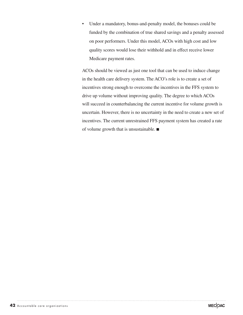• Under a mandatory, bonus-and-penalty model, the bonuses could be funded by the combination of true shared savings and a penalty assessed on poor performers. Under this model, ACOs with high cost and low quality scores would lose their withhold and in effect receive lower Medicare payment rates.

ACOs should be viewed as just one tool that can be used to induce change in the health care delivery system. The ACO's role is to create a set of incentives strong enough to overcome the incentives in the FFS system to drive up volume without improving quality. The degree to which ACOs will succeed in counterbalancing the current incentive for volume growth is uncertain. However, there is no uncertainty in the need to create a new set of incentives. The current unrestrained FFS payment system has created a rate of volume growth that is unsustainable. ■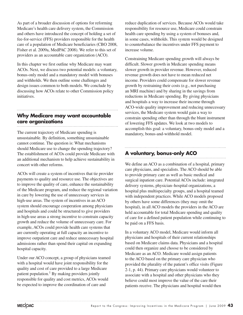As part of a broader discussion of options for reforming Medicare's health care delivery system, the Commission and others have introduced the concept of holding a set of fee-for-service (FFS) providers responsible for the health care of a population of Medicare beneficiaries (CBO 2008, Fisher et al. 2009a, MedPAC 2008). We refer to this set of providers as an accountable care organization (ACO).

In this chapter we first outline why Medicare may want ACOs. Next, we discuss two potential models: a voluntary, bonus-only model and a mandatory model with bonuses and withholds. We then outline some challenges and design issues common to both models. We conclude by discussing how ACOs relate to other Commission policy initiatives.

## **Why Medicare may want accountable care organizations**

The current trajectory of Medicare spending is unsustainable. By definition, something unsustainable cannot continue. The question is: What mechanisms should Medicare use to change the spending trajectory? The establishment of ACOs could provide Medicare with an additional mechanism to help achieve sustainability in concert with other reforms.

ACOs will create a system of incentives that tie provider payments to quality and resource use. The objectives are to improve the quality of care, enhance the sustainability of the Medicare program, and reduce the regional variation in care by lowering the use of unnecessary services in high-use areas. The system of incentives in an ACO system should encourage cooperation among physicians and hospitals and could be structured to give providers in high-use areas a strong incentive to constrain capacity growth and reduce the volume of unnecessary care. For example, ACOs could provide health care systems that are currently operating at full capacity an incentive to improve outpatient care and reduce unnecessary hospital admissions rather than spend their capital on expanding hospital capacity.

Under our ACO concept, a group of physicians teamed with a hospital would have joint responsibility for the quality and cost of care provided to a large Medicare patient population.<sup>1</sup> By making providers jointly responsible for quality and cost metrics, ACOs would be expected to improve the coordination of care and

reduce duplication of services. Because ACOs would take responsibility for resource use, Medicare could constrain health care spending by using a system of bonuses and, in some cases, withholds. This system would be designed to counterbalance the incentives under FFS payment to increase volume.

Constraining Medicare spending growth will always be difficult. Slower growth in Medicare spending means slower growth in provider revenue. However, reduced revenue growth does not have to mean reduced net income. Providers could compensate for slower revenue growth by restraining their costs (e.g., not purchasing an MRI machine) and by sharing in the savings from reductions in Medicare spending. By giving physicians and hospitals a way to increase their income through ACO-wide quality improvement and reducing unnecessary services, the Medicare system would gain a way to constrain spending other than through the blunt instrument of lowering FFS updates. We look at two models to accomplish this goal: a voluntary, bonus-only model and a mandatory, bonus-and-withhold model.

## **A voluntary, bonus-only ACO**

We define an ACO as a combination of a hospital, primary care physicians, and specialists. The ACO should be able to provide primary care as well as basic medical and surgical inpatient care. Potential ACOs include: integrated delivery systems, physician–hospital organizations, a hospital plus multispecialty groups, and a hospital teamed with independent practices. While ACO models proposed by others have some differences (they may omit the hospital), in all ACO models the providers in the ACO are held accountable for total Medicare spending and quality of care for a defined patient population while continuing to be paid on a FFS basis.

In a voluntary ACO model, Medicare would inform all physicians and hospitals of their current relationships based on Medicare claims data. Physicians and a hospital could then organize and choose to be considered by Medicare as an ACO. Medicare would assign patients to the ACO based on the primary care physician who provided the plurality of the patient's office visits (Figure 2-1, p. 44). Primary care physicians would volunteer to associate with a hospital and other physicians who they believe could most improve the value of the care their patients receive. The physicians and hospital would then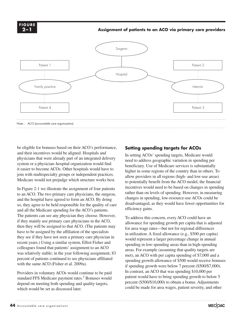**FIGURE 2–12-1 F i gure**

#### **Assignment of patients to an ACO via primary care providers**



be eligible for bonuses based on their ACO's performance, and their incentives would be aligned. Hospitals and physicians that were already part of an integrated delivery system or a physician–hospital organization would find it easier to become ACOs. Other hospitals would have to join with multispecialty groups or independent practices. Medicare would not prejudge which structure works best.

In Figure 2-1 we illustrate the assignment of four patients to an ACO. The two primary care physicians, the surgeon, and the hospital have agreed to form an ACO. By doing so, they agree to be held responsible for the quality of care and all the Medicare spending for the ACO's patients. The patients can see any physician they choose. However, if they mainly use primary care physicians in the ACO, then they will be assigned to that ACO. (The patients may have to be assigned by the affiliation of the specialists they see if they have not seen a primary care physician in recent years.) Using a similar system, Elliot Fisher and colleagues found that patients' assignment to an ACO was relatively stable; in the year following assignment, 83 percent of patients continued to see physicians affiliated with the same ACO (Fisher et al. 2009a).

Providers in voluntary ACOs would continue to be paid standard FFS Medicare payment rates.<sup>2</sup> Bonuses would depend on meeting both spending and quality targets, which would be set as discussed later.

## **Setting spending targets for ACOs**

In setting ACOs' spending targets, Medicare would need to address geographic variation in spending per beneficiary. Use of Medicare services is substantially higher in some regions of the country than in others. To allow providers in all regions (high- and low-use areas) to potentially benefit from the ACO model, the financial incentives would need to be based on changes in spending rather than on levels of spending. However, in measuring changes in spending, low-resource-use ACOs could be disadvantaged, as they would have fewer opportunities for efficiency gains.

To address this concern, every ACO could have an allowance for spending growth per capita that is adjusted for area wage rates—but not for regional differences in utilization. A fixed allowance (e.g., \$500 per capita) would represent a larger percentage change in annual spending in low-spending areas than in high-spending areas. For example (assuming that quality targets are met), an ACO with per capita spending of \$7,000 and a spending growth allowance of \$500 would receive bonuses if spending growth were below 7 percent (\$500/\$7,000). In contrast, an ACO that was spending \$10,000 per patient would have to bring spending growth to below 5 percent (\$500/\$10,000) to obtain a bonus. Adjustments could be made for area wages, patient severity, and other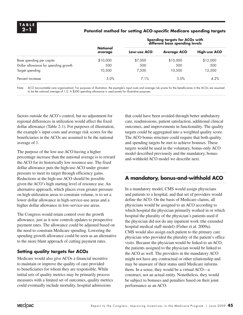#### **2–1 Potential method for setting ACO-specific Medicare spending targets**

|                                      |                                               | Spending targets for ACOs with<br>different base spending levels |                    |                     |
|--------------------------------------|-----------------------------------------------|------------------------------------------------------------------|--------------------|---------------------|
|                                      | <b>National</b><br>average<br>\$10,000<br>500 | Low-use ACO                                                      | <b>Average ACO</b> | <b>High-use ACO</b> |
| Base spending per capita             |                                               | \$7,000                                                          | \$10,000           | \$12,000            |
| Dollar allowance for spending growth |                                               | 500                                                              | 500                | 500                 |
| Target spending                      | 10.500                                        | 7.500                                                            | 10.500             | 12,500              |
| Percent increase                     | 5.0%                                          | 71%                                                              | 5.0%               | 4.2%                |
|                                      |                                               |                                                                  |                    |                     |

Note: ACO (accountable care organization). For purposes of illustration, the example's input costs and average risk scores for the beneficiaries in the ACOs are assumed to be the national average of 1.0. A \$500 spending allowance is used purely for illustrative purposes.

factors outside the ACO's control, but no adjustment for regional differences in utilization would affect the fixed dollar allowance (Table 2-1). For purposes of illustration, the example's input costs and average risk scores for the beneficiaries in the ACOs are assumed to be the national average of 1.

The purpose of the low-use ACO having a higher percentage increase than the national average is to reward the ACO for its historically low resource use. The fixed dollar allowance puts the high-use ACO under greater pressure to meet its target through efficiency gains. Reductions at the high-use ACO should be possible given the ACO's high starting level of resource use. An alternative approach, which places even greater pressure on high-utilization areas to constrain volume, is to set a lower dollar allowance in high-service-use areas and a higher dollar allowance in low-service-use areas.

The Congress would retain control over the growth allowance, just as it now controls updates to prospective payment rates. The allowance could be adjusted based on the need to constrain Medicare spending. Lowering the spending growth allowance could be seen as an alternative to the more blunt approach of cutting payment rates.

#### **Setting quality targets for ACOs**

Medicare would also give ACOs a financial incentive to maintain or improve the quality of care provided to beneficiaries for whom they are responsible. While initial sets of quality metrics may be primarily process measures with a limited set of outcomes, quality metrics could eventually include mortality, hospital admissions

that could have been avoided through better ambulatory care, readmissions, patient satisfaction, additional clinical outcomes, and improvements in functionality. The quality targets could be aggregated into a weighted quality score. The ACO bonus structure could require that both quality and spending targets be met to achieve bonuses. These targets would be used in the voluntary, bonus-only ACO model described previously and the mandatory, bonusand-withhold ACO model we describe next.

## **A mandatory, bonus-and-withhold ACO**

In a mandatory model, CMS would assign physicians and patients to a hospital, and that set of providers would define the ACO. On the basis of Medicare claims, all physicians would be assigned to an ACO according to which hospital the physician primarily worked in or which hospital the plurality of the physician's patients used if the physician did not do any inpatient work (the extended hospital medical staff model) (Fisher et al. 2009a). CMS would also assign each patient to the primary care physician who provided the plurality of the patient's office visits. Because the physician would be linked to an ACO, the patients assigned to the physician would be linked to the ACO as well. The providers in the mandatory ACO might not have any contractual or other relationship and may be unaware of their status until Medicare informs them. In a sense, they would be a virtual ACO—a construct, not an actual entity. Nonetheless, they would be subject to bonuses and penalties based on their joint performance as an ACO.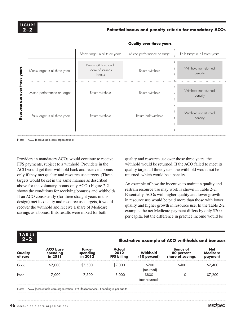#### **Potential bonus and penalty criteria for mandatory ACOs**

|       |                                      | Meets target in all three years                    | Mixed performance on target | Fails target in all three years    |
|-------|--------------------------------------|----------------------------------------------------|-----------------------------|------------------------------------|
| 흥     | Meets target in all three years      | Return withhold and<br>share of savings<br>(bonus) | Return withhold             | Withhold not returned<br>(penalty) |
|       | Mixed performance on target          | Return withhold                                    | Return withhold             | Withhold not returned<br>(penalty) |
|       | Fails target in all three years      | Return withhold                                    | Return half withhold        | Withhold not returned<br>(penalty) |
| Note: | ACO (accountable care organization). |                                                    |                             |                                    |

#### **Quality over three years**

Providers in mandatory ACOs would continue to receive FFS payments, subject to a withhold. Providers in the ACO would get their withhold back and receive a bonus only if they met quality and resource use targets. (These targets would be set in the same manner as described above for the voluntary, bonus-only ACO.) Figure 2-2 shows the conditions for receiving bonuses and withholds. If an ACO consistently (for three straight years in this design) met its quality and resource use targets, it would recover the withhold and receive a share of Medicare savings as a bonus. If its results were mixed for both

quality and resource use over those three years, the withhold would be returned. If the ACO failed to meet its quality target all three years, the withhold would not be returned, which would be a penalty.

An example of how the incentive to maintain quality and restrain resource use may work is shown in Table 2-2. Essentially, ACOs with higher quality and lower growth in resource use would be paid more than those with lower quality and higher growth in resource use. In the Table 2-2 example, the net Medicare payment differs by only \$200 per capita, but the difference in practice income would be

| TA B E |  |  |
|--------|--|--|
|        |  |  |

#### **2–2 Illustrative example of ACO withholds and bonuses**

| Quality<br>of care | <b>ACO</b> base<br>spending<br>in 2011                                              | <b>Target</b><br>spending<br>in 2012 | Actual<br>2012<br><b>FFS billing</b> | <b>Withhold</b><br>(10 percent) | <b>Bonus of</b><br>80 percent<br>share of savings | <b>Net</b><br><b>Medicare</b><br>payment |
|--------------------|-------------------------------------------------------------------------------------|--------------------------------------|--------------------------------------|---------------------------------|---------------------------------------------------|------------------------------------------|
| Good               | \$7,000                                                                             | \$7,500                              | \$7,000                              | \$700<br>(returned)             | \$400                                             | \$7,400                                  |
| Poor               | 7.000                                                                               | 7.500                                | 8,000                                | \$800<br>(not returned)         |                                                   | \$7,200                                  |
| Note:              | ACO (accountable care organization), FFS (fee-for-service). Spending is per capita. |                                      |                                      |                                 |                                                   |                                          |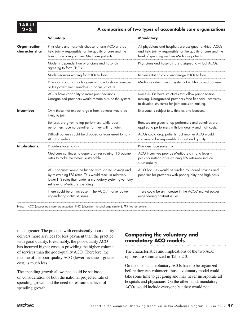

#### **2–3 A comparison of two types of accountable care organizations**

|                                                                                                                                                                                                                                                                                                                                                                                                                                                                                                                                                                                                                                                                                                                                                                                                                                                                                                   | Voluntary                                                                                                                                                       | <b>Mandatory</b>                                                                                                                                                           |
|---------------------------------------------------------------------------------------------------------------------------------------------------------------------------------------------------------------------------------------------------------------------------------------------------------------------------------------------------------------------------------------------------------------------------------------------------------------------------------------------------------------------------------------------------------------------------------------------------------------------------------------------------------------------------------------------------------------------------------------------------------------------------------------------------------------------------------------------------------------------------------------------------|-----------------------------------------------------------------------------------------------------------------------------------------------------------------|----------------------------------------------------------------------------------------------------------------------------------------------------------------------------|
| <b>Organization</b><br>characteristics                                                                                                                                                                                                                                                                                                                                                                                                                                                                                                                                                                                                                                                                                                                                                                                                                                                            | Physicians and hospitals choose to form ACO and be<br>held jointly responsible for the quality of care and the<br>level of spending on their Medicare patients. | All physicians and hospitals are assigned to virtual ACOs<br>and held jointly responsible for the quality of care and the<br>level of spending on their Medicare patients. |
|                                                                                                                                                                                                                                                                                                                                                                                                                                                                                                                                                                                                                                                                                                                                                                                                                                                                                                   | Model is dependent on physicians and hospitals<br>agreeing to form PHOs.                                                                                        | Physicians and hospitals are assigned to virtual ACOs.                                                                                                                     |
| Model requires waiting for PHOs to form.<br>Physicians and hospitals agree on how to share revenues,<br>or the government mandates a bonus structure.<br>ACOs have capability to make joint decisions.<br>Unorganized providers would remain outside the system.<br><b>Incentives</b><br>Only those that expect to gain from bonuses would be<br>likely to join.<br>Bonuses are given to top performers, while poor<br>performers face no penalties (or they will not join).<br>Difficult patients could be dropped or transferred to non-<br>ACO providers.<br>Providers face no risk.<br><b>Implications</b><br>Medicare continues to depend on restraining FFS payment<br>rates to make the system sustainable.<br>ACO bonuses would be funded with shared savings and<br>by restraining FFS rates. This would result in relatively<br>lower FFS rates than under a mandatory system given any | Implementation could encourage PHOs to form.                                                                                                                    |                                                                                                                                                                            |
|                                                                                                                                                                                                                                                                                                                                                                                                                                                                                                                                                                                                                                                                                                                                                                                                                                                                                                   |                                                                                                                                                                 | Medicare administers a system of withholds and bonuses.                                                                                                                    |
|                                                                                                                                                                                                                                                                                                                                                                                                                                                                                                                                                                                                                                                                                                                                                                                                                                                                                                   |                                                                                                                                                                 | Some ACOs have structures that allow joint decision<br>making. Unorganized providers face financial incentives<br>to develop structures for joint decision making.         |
|                                                                                                                                                                                                                                                                                                                                                                                                                                                                                                                                                                                                                                                                                                                                                                                                                                                                                                   |                                                                                                                                                                 | Everyone is subject to withholds and bonuses.                                                                                                                              |
|                                                                                                                                                                                                                                                                                                                                                                                                                                                                                                                                                                                                                                                                                                                                                                                                                                                                                                   |                                                                                                                                                                 | Bonuses are given to top performers and penalties are<br>applied to performers with low quality and high costs.                                                            |
|                                                                                                                                                                                                                                                                                                                                                                                                                                                                                                                                                                                                                                                                                                                                                                                                                                                                                                   |                                                                                                                                                                 | ACOs could drop patients, but another ACO would<br>continue to be responsible for cost and quality.                                                                        |
|                                                                                                                                                                                                                                                                                                                                                                                                                                                                                                                                                                                                                                                                                                                                                                                                                                                                                                   |                                                                                                                                                                 | Providers face some risk.                                                                                                                                                  |
|                                                                                                                                                                                                                                                                                                                                                                                                                                                                                                                                                                                                                                                                                                                                                                                                                                                                                                   |                                                                                                                                                                 | ACO incentives provide Medicare a strong lever-<br>possibly instead of restraining FFS rates-to induce<br>sustainability.                                                  |
|                                                                                                                                                                                                                                                                                                                                                                                                                                                                                                                                                                                                                                                                                                                                                                                                                                                                                                   | set level of Medicare spending.                                                                                                                                 | ACO bonuses would be funded by shared savings and<br>penalties for providers with poor quality and high costs.                                                             |
|                                                                                                                                                                                                                                                                                                                                                                                                                                                                                                                                                                                                                                                                                                                                                                                                                                                                                                   | There could be an increase in the ACOs' market power<br>engendering antitrust issues.                                                                           | There could be an increase in the ACOs' market power<br>engendering antitrust issues.                                                                                      |

Note: ACO (accountable care organization), PHO (physician–hospital organization), FFS (fee-for-service).

much greater. The practice with consistently poor quality delivers more services for less payment than the practice with good quality. Presumably, the poor-quality ACO has incurred higher costs in providing the higher volume of services than the good-quality ACO. Therefore, the income of the poor-quality ACO (lower revenue – greater cost) is much less.

The spending growth allowance could be set based on consideration of both the national projected rate of spending growth and the need to restrain the level of spending growth.

## **Comparing the voluntary and mandatory ACO models**

The characteristics and implications of the two ACO options are summarized in Table 2-3.

On the one hand, voluntary ACOs have to be organized before they can volunteer; thus, a voluntary model could take some time to get going and may never incorporate all hospitals and physicians. On the other hand, mandatory ACOs would include everyone but they would not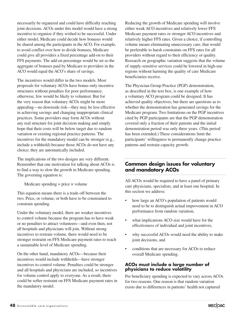necessarily be organized and could have difficulty reaching joint decisions. ACOs under this model would have a strong incentive to organize if they wished to be successful. Under either model, Medicare could decide how bonuses would be shared among the participants in the ACO. For example, to avoid conflict over how to divide bonuses, Medicare could give all providers a fixed percentage add-on to their FFS payments. The add-on percentage would be set so the aggregate of bonuses paid by Medicare to providers in the ACO would equal the ACO's share of savings.

The incentives would differ in the two models. Most proposals for voluntary ACOs have bonus-only incentive structures without penalties for poor performance; otherwise, few would be likely to volunteer. But for the very reason that voluntary ACOs might be more appealing—no downside risk—they may be less effective in achieving savings and changing inappropriate clinical practices. Some providers may form ACOs without any real structure for joint decision making and simply hope that their costs will be below target due to random variation or existing regional practice patterns. The incentives for the mandatory model can be stronger (e.g., include a withhold) because those ACOs do not have any choice; they are automatically included.

The implications of the two designs are very different. Remember that one motivation for talking about ACOs is to find a way to slow the growth in Medicare spending. The governing equation is:

Medicare spending  $=$  price  $\times$  volume

This equation means there is a trade-off between the two. Price, or volume, or both have to be constrained to constrain spending.

Under the voluntary model, there are weaker incentives to control volume because the program has to have weak or no penalties to attract volunteers—and even then, not all hospitals and physicians will join. Without strong incentives to restrain volume, there would need to be stronger restraint on FFS Medicare payment rates to reach a sustainable level of Medicare spending.

On the other hand, mandatory ACOs—because their incentives would include withholds—have stronger incentives to control volume. Penalties could be stronger and all hospitals and physicians are included, so incentives for volume control apply to everyone. As a result, there could be softer restraint on FFS Medicare payment rates in the mandatory model.

Reducing the growth of Medicare spending will involve either weak ACO incentives and relatively lower FFS Medicare payment rates or stronger ACO incentives and relatively higher FFS rates. Given a choice, if controlling volume means eliminating unnecessary care, that would be preferable to harsh constraints on FFS rates for all providers without regard to their efficiency or quality. Research on geographic variation suggests that the volume of supply-sensitive services could be lowered in high-use regions without harming the quality of care Medicare beneficiaries receive.

The Physician Group Practice (PGP) demonstration, as described in the text box, is one example of how a voluntary ACO program could be designed. It has achieved quality objectives, but there are questions as to whether the demonstration has generated savings for the Medicare program. Two limitations on the PGP incentives cited by PGP participants are that the PGP demonstration covered only a fraction of their patients and the initial demonstration period was only three years. (This period has been extended.) These considerations limit the participants' willingness to permanently change practice patterns and restrain capacity growth.

#### **Common design issues for voluntary and mandatory ACOs**

All ACOs would be required to have a panel of primary care physicians, specialists, and at least one hospital. In this section we address:

- how large an ACO's population of patients would need to be to distinguish actual improvement in ACO performance from random variation,
- what implications ACO size would have for the effectiveness of individual and joint incentives,
- why successful ACOs would need the ability to make joint decisions, and
- conditions that are necessary for ACOs to reduce overall Medicare spending.

#### **ACOs must include a large number of physicians to reduce volatility**

Per beneficiary spending is expected to vary across ACOs for two reasons. One reason is that random variation exists due to differences in patients' health not captured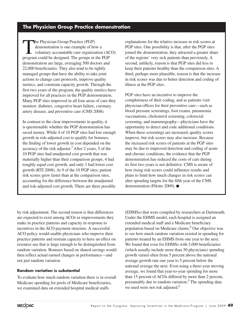## **The Physician Group Practice demonstration**

The Physician Group Practice (PGP)<br>
demonstration is one example of how a<br>
voluntary accountable care organization (ACO) demonstration is one example of how a program could be designed. The groups in the PGP demonstration are large, averaging 500 doctors and 22,000 beneficiaries. They also tend to be tightly managed groups that have the ability to take joint actions to change care protocols, improve quality metrics, and constrain capacity growth. Through the first two years of the program, the quality metrics have improved for all practices in the PGP demonstration. Many PGP sites improved in all four areas of care they monitor: diabetes, congestive heart failure, coronary artery disease, and preventive care (CMS 2008).

In contrast to the clear improvements in quality, it is questionable whether the PGP demonstration has saved money. While 4 of 10 PGP sites had low enough growth in risk-adjusted cost to qualify for bonuses, the finding of lower growth in cost depended on the accuracy of the risk adjuster.<sup>3</sup> After 2 years, 5 of the 10 PGP sites had unadjusted cost growth that was materially higher than their comparison groups, 4 had roughly equal cost growth, and only 1 had lower cost growth (RTI 2008). At 9 of the 10 PGP sites, patient risk scores grew faster than at the comparison sites, accounting for the difference between the unadjusted and risk-adjusted cost growth. There are three possible

explanations for the relative increase in risk scores at PGP sites. One possibility is that, after the PGP sites joined the demonstration, they attracted a greater share of the regions' very sick patients than previously. A second, unlikely, reason is that PGP sites did less to keep their patients healthy than the comparison sites. A third, perhaps more plausible, reason is that the increase in risk scores was due to better detection and coding of illness at the PGP sites.

PGP sites have an incentive to improve the completeness of their coding, and as patients visit physician offices for their preventive care—such as blood pressure screenings, foot exams, pneumonia vaccinations, cholesterol screening, colorectal screening, and mammography—physicians have the opportunity to detect and code additional conditions. When these screenings are increased, quality scores improve, but risk scores may also increase. Because the increased risk scores of patients at the PGP sites may be due to improved detection and coding of acute and chronic conditions, the evidence that the PGP demonstration has reduced the costs of care during its first two years is not definitive. CMS is aware of how rising risk scores could influence results and plans to limit how much changes in risk scores can alter spending targets for the fifth year of the CMS demonstration (Pilotte 2009). ■

by risk adjustment. The second reason is that differences are expected to exist among ACOs in improvements they make in practice patterns and capacity in response to incentives in the ACO payment structure. A successful ACO policy would enable physicians who improve their practice patterns and restrain capacity to have an effect on resource use that is large enough to be distinguished from random variation. Bonuses based on shared savings would then reflect actual earned changes in performance—and not just random variation.

#### **Random variation is substantial**

To evaluate how much random variation there is in overall Medicare spending for pools of Medicare beneficiaries, we examined data on extended hospital medical staffs

(EHMSs) that were compiled by researchers at Dartmouth. Under the EHMS model, each hospital is assigned an extended medical staff and a Medicare beneficiary population based on Medicare claims.4 Our objective was to see how much random variation existed in spending for patients treated by an EHMS from one year to the next. We found that even for EHMSs with 5,000 beneficiaries (which usually include more than 50 physicians) spending growth varied often from 5 percent above the national average growth rate one year to 5 percent below the national average the next. Even using a three-year moving average, we found that year-to-year spending for more than 15 percent of ACOs differed by more than 2 percent, presumably due to random variation.<sup>5</sup> The spending data we used were not risk adjusted.<sup>6</sup>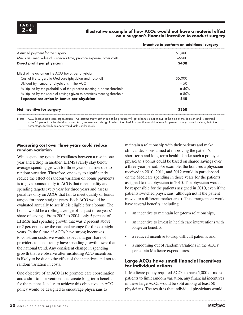

#### **2–4 Illustrative example of how ACOs would not have a material effect on a surgeon's financial incentive to conduct surgery**

| Incentive to perform an additional surgery |
|--------------------------------------------|
| \$1,000                                    |
| $-$ \$600                                  |
| \$400                                      |
|                                            |
| \$5,000                                    |
| $\div$ 50                                  |
| $\times 50\%$                              |
| $\times$ 80%                               |
| \$40                                       |
| \$360                                      |
|                                            |

Note: ACO (accountable care organization). We assume that whether or not the practice will get a bonus is not known at the time of the decision and is assumed to be 50 percent by the decision maker. Also, we assume a design in which the physician practice would receive 80 percent of any shared savings, but other percentages for both numbers would yield similar results.

#### **Measuring cost over three years could reduce random variation**

While spending typically oscillates between a rise in one year and a drop in another, EHMSs rarely stay below average spending growth for three years in a row due to random variation. Therefore, one way to significantly reduce the effect of random variation on bonus payments is to give bonuses only to ACOs that meet quality and spending targets every year for three years and assess penalties only on ACOs that fail to meet quality or bonus targets for three straight years. Each ACO would be evaluated annually to see if it is eligible for a bonus. The bonus would be a rolling average of its past three years' share of savings. From 2002 to 2004, only 5 percent of EHMSs had spending growth that was 2 percent above or 2 percent below the national average for three straight years. In the future, if ACOs have strong incentives to constrain costs, we would expect a larger share of providers to consistently have spending growth lower than the national trend. Any consistent change in spending growth that we observe after instituting ACO incentives is likely to be due to the effect of the incentives and not to random variation in costs.

One objective of an ACO is to promote care coordination and a shift to interventions that create long-term benefits for the patient. Ideally, to achieve this objective, an ACO policy would be designed to encourage physicians to

maintain a relationship with their patients and make clinical decisions aimed at improving the patient's short-term and long-term health. Under such a policy, a physician's bonus could be based on shared savings over a three-year period. For example, the bonuses a physician received in 2010, 2011, and 2012 would in part depend on the Medicare spending in those years for the patients assigned to that physician in 2010. The physician would be responsible for the patients assigned in 2010, even if the patients switched physicians (although not if the patient moved to a different market area). This arrangement would have several benefits, including:

- an incentive to maintain long-term relationships,
- an incentive to invest in health care interventions with long-run benefits,
- a reduced incentive to drop difficult patients, and
- a smoothing out of random variations in the ACOs' per capita Medicare expenditures.

#### **Large ACOs have small financial incentives for individual actions**

If Medicare policy required ACOs to have 5,000 or more patients to limit random variation, any financial incentives in these large ACOs would be split among at least 50 physicians. The result is that individual physicians would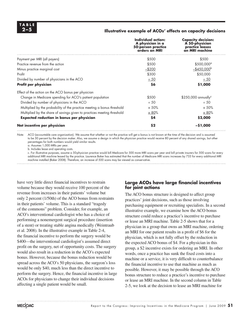#### **2–5 Illustrative example of ACOs' effects on capacity decisions**

|                                                                         | Individual action:<br>A physician in a<br>50-person practice<br>orders an MRI | <b>Capacity decision:</b><br>A 50-physician<br>practice leases<br>an MRI machine |
|-------------------------------------------------------------------------|-------------------------------------------------------------------------------|----------------------------------------------------------------------------------|
| Payment per MRI (all payers)                                            | \$500                                                                         | \$500                                                                            |
| Practice revenue from the action                                        | \$500                                                                         | $$500,000^{\circ}$                                                               |
| Minus practice marginal cost                                            | $-$ \$200                                                                     | $-$ \$450,000 <sup>b</sup>                                                       |
| Profit                                                                  | \$300                                                                         | \$50,000                                                                         |
| Divided by number of physicians in the ACO                              | $\div$ 50                                                                     | $\div$ 50                                                                        |
| Profit per physician                                                    | \$6                                                                           | \$1,000                                                                          |
| Effect of the action on the ACO bonus per physician                     |                                                                               |                                                                                  |
| Change in Medicare spending for ACO's patient population                | \$500                                                                         | $$250,000$ annually <sup>c</sup>                                                 |
| Divided by number of physicians in the ACO                              | ± 50                                                                          | ± 50                                                                             |
| Multiplied by the probability of the practice meeting a bonus threshold | $\times 50\%$                                                                 | $\times 50\%$                                                                    |
| Multiplied by the share of savings given to practices meeting threshold | $\times$ 80%                                                                  | $\times$ 80%                                                                     |
| <b>Expected reduction in bonus per physician</b>                        | \$4                                                                           | \$2,000                                                                          |
| Net incentive per physician                                             | \$2                                                                           | $-51,000$                                                                        |

Note: ACO (accountable care organization). We assume that whether or not the practice will get a bonus is not known at the time of the decision and is assumed to be 50 percent by the decision maker. Also, we assume a design in which the physician practice would receive 80 percent of any shared savings, but other percentages for both numbers would yield similar results.

a. Assumes 1,000 MRIs per year.

b. Includes lease and operating costs.

c. For illustrative purposes, assume a 50-physician practice would bill Medicare for 500 more MRI scans per year and bill private insurers for 500 scans for every additional MRI machine leased by the practice. Laurence Baker has estimated that the number of Medicare MRI scans increases by 733 for every additional MRI machine installed (Baker 2008). Therefore, an increase of 500 scans may be viewed as conservative.

have very little direct financial incentives to restrain volume because they would receive 100 percent of the revenue from increases in their patients' volume but only 2 percent (1/50th) of the ACO bonus from restraints in their patients' volume. This is a standard "tragedy of the commons" problem. Consider, for example, an ACO's interventional cardiologist who has a choice of performing a nonemergent surgical procedure (insertion of a stent) or treating stable angina medically (Weintraub et al. 2008). In the illustrative example in Table 2-4, the financial incentive to perform the surgery would be \$400—the interventional cardiologist's assumed direct profit on the surgery, net of opportunity costs. The surgery would also result in a reduction in the ACO's expected bonus. However, because the bonus reduction would be spread across the ACO's 50 physicians, the surgeon's loss would be only \$40, much less than the direct incentive to perform the surgery. Hence, the financial incentive in large ACOs for physicians to change their individual decisions affecting a single patient would be small.

#### **Large ACOs have large financial incentives for joint actions**

The ACO bonus structure is designed to affect group practices' joint decisions, such as those involving purchasing equipment or recruiting specialists. In a second illustrative example, we examine how the ACO bonus structure could reduce a practice's incentive to purchase or lease an MRI machine. Table 2-5 shows that for a physician in a group that owns an MRI machine, ordering an MRI for one patient results in a profit of \$6 for the physician, which is not fully offset by the reduction in the expected ACO bonus of \$4. For a physician in this group, a \$2 incentive exists for ordering an MRI. In other words, once a practice has sunk the fixed costs into a machine or a service, it is very difficult to counterbalance the financial incentive to use that machine as much as possible. However, it may be possible through the ACO bonus structure to reduce a practice's incentive to purchase or lease an MRI machine. In the second column in Table 2-5, we look at the decision to lease an MRI machine for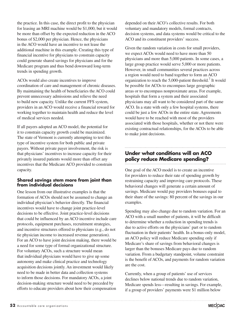the practice. In this case, the direct profit to the physician for leasing an MRI machine would be \$1,000, but it would be more than offset by the expected reduction in the ACO bonus of \$2,000 per physician. Hence, the physicians in the ACO would have an incentive to not lease the additional machine in this example. Creating this type of financial incentive for physicians to constrain capacity could generate shared savings for physicians and for the Medicare program and thus bend downward long-term trends in spending growth.

ACOs would also create incentives to improve coordination of care and management of chronic diseases. By maintaining the health of beneficiaries the ACO could prevent unnecessary admissions and relieve the need to build new capacity. Unlike the current FFS system, providers in an ACO would receive a financial reward for working together to maintain health and reduce the level of medical services needed.

If all payers adopted an ACO model, the potential for it to constrain capacity growth could be maximized. The state of Vermont is currently attempting to test this type of incentive system for both public and private payers. Without private payer involvement, the risk is that physicians' incentives to increase capacity for their privately insured patients would more than offset any incentives that the Medicare ACO provided to constrain capacity.

#### **Shared savings stem more from joint than from individual decisions**

One lesson from our illustrative examples is that the formation of ACOs should not be assumed to change an individual physician's behavior directly. The financial incentives would have to change joint practice-level decisions to be effective. Joint practice-level decisions that could be influenced by an ACO incentive include care protocols, equipment purchases, recruitment strategies, and incentive structures offered to physicians (e.g., do not tie physician income to increased revenue generation). For an ACO to have joint decision making, there would be a need for some type of formal organizational structure. For voluntary ACOs, such a structure would mean that individual physicians would have to give up some autonomy and make clinical practice and technology acquisition decisions jointly. An investment would likely need to be made in better data and collection systems to inform those decisions. For mandatory ACOs, a joint decision-making structure would need to be preceded by efforts to educate providers about how their compensation

depended on their ACO's collective results. For both voluntary and mandatory models, formal contracts, decision systems, and data systems would be critical to the ACO and its constituent providers' success.

Given the random variation in costs for small providers, we expect ACOs would need to have more than 50 physicians and more than 5,000 patients. In some cases, a large group practice would serve 5,000 or more patients. However, in small communities several practices across a region would need to band together to form an ACO organization to reach the 5,000-patient threshold.<sup>7</sup> It would be possible for ACOs to encompass large geographic areas or to encompass nonproximate areas. For example, hospitals that form a system and their associated physicians may all want to be considered part of the same ACO. In a state with only a few hospital systems, there could be just a few ACOs in the entire state. Agreements would have to be reached with most of the providers associated with those hospitals, whether or not there were existing contractual relationships, for the ACOs to be able to make joint decisions.

## **Under what conditions will an ACO policy reduce Medicare spending?**

One goal of the ACO model is to create an incentive for providers to reduce their rate of spending growth by restraining capacity and improving care protocols. These behavioral changes will generate a certain amount of savings. Medicare would pay providers bonuses equal to their share of the savings: 80 percent of the savings in our examples.

Spending may also change due to random variation. For an ACO with a small number of patients, it will be difficult to determine whether a reduction in spending trends is due to active efforts on the physicians' part or to random fluctuation in their patients' health. In a bonus-only model, an ACO policy will reduce Medicare spending only if Medicare's share of savings from behavioral changes is larger than the bonuses Medicare pays due to random variation. From a budgetary standpoint, volume constraint is the benefit of ACOs, and payments for random variation are the cost.

Currently, when a group of patients' use of services declines below national trends due to random variation, Medicare spends less—resulting in savings. For example, if a group of providers' payments were \$1 million below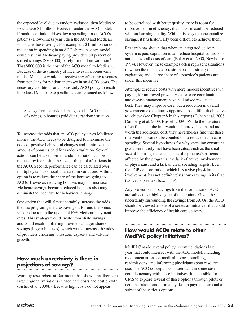the expected level due to random variation, then Medicare would save \$1 million. However, under the ACO model, if random variation drives down spending for an ACO's patients (a low-illness year), then the ACO and Medicare will share those savings. For example, a \$1 million random reduction in spending in an ACO shared-savings model could result in Medicare paying providers 80 percent of shared savings (\$800,000) purely for random variation.<sup>8</sup> That \$800,000 is the cost of the ACO model to Medicare. Because of the asymmetry of incentives in a bonus-only model, Medicare would not receive any offsetting revenues from penalties for random increases in an ACO's costs. The necessary condition for a bonus-only ACO policy to result in reduced Medicare expenditures can be stated as follows:

Savings from behavioral change  $\times$  (1 – ACO share of savings) > bonuses paid due to random variation

To increase the odds that an ACO policy saves Medicare money, the ACO needs to be designed to maximize the odds of positive behavioral changes and minimize the amount of bonuses paid for random variation. Several actions can be taken. First, random variation can be reduced by increasing the size of the pool of patients in the ACO. Second, performance can be calculated over multiple years to smooth out random variations. A third option is to reduce the share of the bonuses going to ACOs. However, reducing bonuses may not increase Medicare savings because reduced bonuses also may diminish the incentive for behavioral change.

One option that will almost certainly increase the odds that the program generates savings is to fund the bonus via a reduction in the update of FFS Medicare payment rates. This strategy would create immediate savings and could result in offering providers a larger share of savings (bigger bonuses), which would increase the odds of providers choosing to restrain capacity and volume growth.

## **How much uncertainty is there in projections of savings?**

Work by researchers at Dartmouth has shown that there are large regional variations in Medicare costs and cost growth (Fisher et al. 2009b). Because high costs do not appear

to be correlated with better quality, there is room for improvement in efficiency; that is, costs could be reduced without harming quality. While it is easy to conceptualize savings, it has historically been difficult to achieve them.

Research has shown that when an integrated delivery system is paid capitation it can reduce hospital admissions and the overall costs of care (Baker et al. 2000, Newhouse 1994). However, these examples often represent situations in which the incentive to restrain costs is strong (i.e., capitation) and a large share of a practice's patients are under this incentive.

Attempts to reduce costs with more modest incentives via paying for improved preventive care, care coordination, and disease management have had mixed results at best. They may improve care, but a reduction in overall government expenditures appears to be a difficult objective to achieve (see Chapter 8 in this report) (Cohen et al. 2008, Damberg et al. 2009, Russell 2009). While the literature often finds that the interventions improve health and are worth the additional cost, they nevertheless find that these interventions cannot be counted on to reduce health care spending. Several hypotheses for why spending constraint goals were rarely met have been cited, such as the small size of bonuses, the small share of a practice's patients affected by the programs, the lack of active involvement of physicians, and a lack of clear spending targets. Even the PGP demonstration, which has active physician involvement, has not definitively shown savings in its first two years (see text box, p. 49).

Any projections of savings from the formation of ACOs are subject to a high degree of uncertainty. Given the uncertainty surrounding the savings from ACOs, the ACO should be viewed as one of a series of initiatives that could improve the efficiency of health care delivery.

## **How would ACOs relate to other MedPAC policy initiatives?**

MedPAC made several policy recommendations last year that could intersect with the ACO model, including recommendations on medical homes, bundling, readmissions, and informing physicians about resource use. The ACO concept is consistent and in some cases complementary with these initiatives. It is possible for CMS to explore several of these options through pilots or demonstrations and ultimately design payments around a subset of the various options.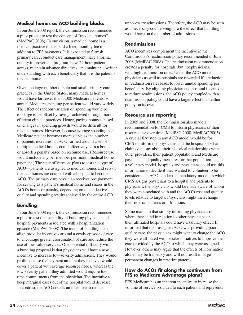## **Medical homes as ACO building blocks**

In our June 2008 report, the Commission recommended a pilot project to test the concept of "medical homes" (MedPAC 2008). In our vision, a medical home is a medical practice that is paid a fixed monthly fee in addition to FFS payments. It is expected to furnish primary care, conduct care management, have a formal quality improvement program, have 24-hour patient access, maintain advance directives, and maintain a written understanding with each beneficiary that it is the patient's medical home.

Given the large number of solo and small primary care practices in the United States, many medical homes would have far fewer than 5,000 Medicare patients, so annual Medicare spending per patient would vary widely. The effect of random variation on spending would be too large to be offset by savings achieved through more efficient clinical practices. Hence, paying bonuses based on changes in spending growth would be difficult for medical homes. However, because average spending per Medicare patient becomes more stable as the number of patients increases, an ACO formed around a set of multiple medical homes could effectively earn a bonus or absorb a penalty based on resource use. (Resource use would include any per member per month medical home payment.) The state of Vermont plans to test this type of ACO—patients are assigned to medical homes and sets of medical homes are coupled with a hospital to become an ACO. The primary care physician receives one payment for serving as a patient's medical home and shares in the ACO's bonus or penalty, depending on the collective quality and spending results achieved by the entire ACO.

#### **Bundling**

In our June 2008 report, the Commission recommended a pilot to test the feasibility of bundling physician and hospital payments associated with a hospitalization episode (MedPAC 2008). The intent of bundling is to align provider incentives around a costly episode of care to encourage greater coordination of care and reduce the use of low-value services. One potential difficulty with a bundling proposal is that physicians will have a new incentive to increase low-severity admissions. They would profit because the payment amount they received would cover a patient with average resource needs, whereas the low-severity patient they admitted would require low time commitments from the physician. The incentive to keep marginal cases out of the hospital would decrease. In contrast, the ACO creates an incentive to reduce

unnecessary admissions. Therefore, the ACO may be seen as a necessary counterweight to the effect that bundling would have on the number of admissions.

#### **Readmissions**

ACO incentives complement the incentive in the Commission's readmission policy recommended in June 2008 (MedPAC 2008). The readmission recommendation creates a penalty for hospitals (but not physicians) with high readmission rates. Under the ACO model, physicians as well as hospitals are rewarded if a reduction in readmission rates leads to lower annual spending per beneficiary. By aligning physician and hospital incentives to reduce readmissions, the ACO policy coupled with a readmission policy could have a larger effect than either policy on its own.

#### **Resource use reporting**

In 2005 and 2008, the Commission also made a recommendation for CMS to inform physicians of their resource use over time (MedPAC 2008, MedPAC 2005). A crucial first step in any ACO model would be for CMS to inform the physicians and the hospital of what claims data say about their historical relationships with other providers, their patient population, and Medicare payments and quality measures for that population. Under a voluntary model, hospitals and physicians could use this information to decide if they wanted to volunteer to be considered an ACO. Under the mandatory model, in which CMS assigns physicians to a hospital and patients to physicians, the physicians would be made aware of whom they were associated with and the ACO's cost and quality levels relative to targets. Physicians might then change their referral patterns or affiliations.

Some maintain that simply informing physicians of where they stand in relation to other physicians and their affiliated hospitals could have a salutary effect. If informed that their assigned ACO was providing poorquality care, the physicians might want to change the ACO they were affiliated with or take initiatives to improve the care provided by the ACO to which they were assigned. However, others may argue that the effects of information alone may be transitory and will not result in large permanent changes in practice patterns.

#### **How do ACOs fit along the continuum from FFS to Medicare Advantage plans?**

FFS Medicare has an inherent incentive to increase the volume of service provided to each patient and represents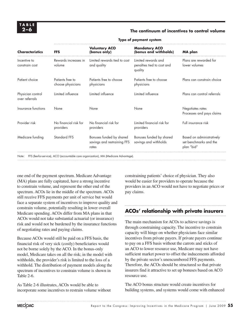#### **2–6 The continuum of incentives to control volume**

| <b>Characteristics</b>              | <b>FFS</b>                            | <b>Voluntary ACO</b><br>(bonus only)                             | <b>Mandatory ACO</b><br>(bonus and withholds)                | <b>MA</b> plan                                                    |
|-------------------------------------|---------------------------------------|------------------------------------------------------------------|--------------------------------------------------------------|-------------------------------------------------------------------|
| Incentive to<br>constrain cost      | Rewards increases in<br>volume        | Limited rewards tied to cost<br>and quality                      | Limited rewards and<br>penalties tied to cost and<br>quality | Plans are rewarded for<br>lower volumes                           |
| Patient choice                      | Patients free to<br>choose physicians | Patients free to choose<br>physicians                            | Patients free to choose<br>physicians                        | Plans can constrain choice                                        |
| Physician control<br>over referrals | Limited influence                     | Limited influence                                                | limited influence                                            | Plans can control referrals                                       |
| Insurance functions                 | None                                  | None                                                             | None                                                         | Negotiates rates<br>Processes and pays claims                     |
| Provider risk                       | No financial risk for<br>providers    | No financial risk for<br>providers                               | Limited financial risk for<br>providers                      | Full insurance risk                                               |
| Medicare funding                    | <b>Standard FFS</b>                   | Bonuses funded by shared<br>savings and restraining FFS<br>rates | Bonuses funded by shared<br>savings and withholds            | Based on administratively<br>set benchmarks and the<br>plan "bid" |

#### **Type of payment system**

one end of the payment spectrum. Medicare Advantage (MA) plans are fully capitated, have a strong incentive to constrain volume, and represent the other end of the spectrum. ACOs lie in the middle of the spectrum. ACOs still receive FFS payments per unit of service but would face a separate system of incentives to improve quality and constrain volume, potentially resulting in lower overall Medicare spending. ACOs differ from MA plans in that ACOs would not take substantial actuarial (or insurance) risk and would not be burdened by the insurance functions of negotiating rates and paying claims.

Because ACOs would still be paid on a FFS basis, the financial risk of very sick (costly) beneficiaries would not be borne solely by the ACO. In the bonus-only model, Medicare takes on all the risk; in the model with withholds, the provider's risk is limited to the loss of a withhold. The distribution of payment models along the spectrum of incentives to constrain volume is shown in Table 2-6.

As Table 2-6 illustrates, ACOs would be able to incorporate some incentives to restrain volume without constraining patients' choice of physician. They also would be easier for providers to operate because the providers in an ACO would not have to negotiate prices or pay claims.

## **ACOs' relationship with private insurers**

The main mechanism for ACOs to achieve savings is through constraining capacity. The incentive to constrain capacity will hinge on whether physicians face similar incentives from private payers. If private payers continue to pay on a FFS basis without the carrots and sticks of an ACO to lower resource use, Medicare may not have sufficient market power to offset the inducements afforded by the private sector's unencumbered FFS payments. Therefore, the ACOs should be structured so that private insurers find it attractive to set up bonuses based on ACO resource use.

The ACO bonus structure would create incentives for building systems, and systems would come with enhanced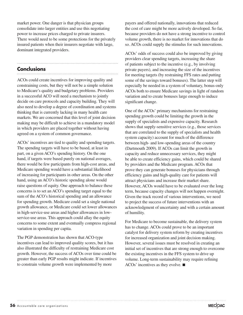market power. One danger is that physician groups consolidate into larger entities and use this negotiating power to increase prices charged to private insurers. There would need to be some protections for the privately insured patients when their insurers negotiate with large, dominant integrated providers.

## **Conclusions**

ACOs could create incentives for improving quality and constraining costs, but they will not be a simple solution to Medicare's quality and budgetary problems. Providers in a successful ACO will need a mechanism to jointly decide on care protocols and capacity building. They will also need to develop a degree of coordination and systems thinking that is currently lacking in many health care markets. We are concerned that this level of joint decision making may be difficult to achieve in a mandatory model in which providers are placed together without having agreed on a system of common governance.

ACOs' incentives are tied to quality and spending targets. The spending targets will have to be based, at least in part, on a given ACO's spending history. On the one hand, if targets were based purely on national averages, there would be few participants from high-cost areas, and Medicare spending would have a substantial likelihood of increasing for participants in other areas. On the other hand, using an ACO's historic spending alone would raise questions of equity. One approach to balance these concerns is to set an ACO's spending target equal to the sum of the ACO's historical spending and an allowance for spending growth. Medicare could set a single national growth allowance, or Medicare could set lower allowances in high-service-use areas and higher allowances in lowservice-use areas. This approach could allay the equity concerns to some extent and eventually compress regional variation in spending per capita.

The PGP demonstration has shown that ACO-type incentives can lead to improved quality scores, but it has also illustrated the difficulty of restraining Medicare cost growth. However, the success of ACOs over time could be greater than early PGP results might indicate. If incentives to constrain volume growth were implemented by more

payers and offered nationally, innovations that reduced the cost of care might be more actively developed. So far, because providers do not have a strong incentive to control volume growth, there is no market for innovations that do so. ACOs could supply the stimulus for such innovations.

ACOs' odds of success could also be improved by giving providers clear spending targets, increasing the share of patients subject to the incentive (e.g., by involving private payers), and increasing the size of the incentives for meeting targets (by restraining FFS rates and putting some of the savings toward bonuses). The latter step will especially be needed in a system of voluntary, bonus-only ACOs both to ensure Medicare savings in light of random variation and to create bonuses large enough to induce significant change.

One of the ACOs' primary mechanisms for restraining spending growth could be limiting the growth in the supply of specialists and expensive capacity. Research shows that supply-sensitive services (e.g., those services that are correlated to the supply of specialists and health system capacity) account for much of the difference between high- and low-spending areas of the country (Dartmouth 2009). If ACOs can limit the growth in capacity and reduce unnecessary services, they might be able to create efficiency gains, which could be shared by providers and the Medicare program. ACOs that prove they can generate bonuses for physicians through efficiency gains and high-quality care for patients will attract physicians and increase their market share. However, ACOs would have to be evaluated over the long term, because capacity changes will not happen overnight. Given the track record of various interventions, we need to project the success of future interventions with an acknowledgment of uncertainty and with a certain amount of humility.

For Medicare to become sustainable, the delivery system has to change. ACOs could prove to be an important catalyst for delivery system reform by creating incentives for increased organization and joint decision making. However, several issues must be resolved in creating an initial set of incentives that are strong enough to overcome the existing incentives in the FFS system to drive up volume. Long-term sustainability may require refining ACOs' incentives as they evolve. ■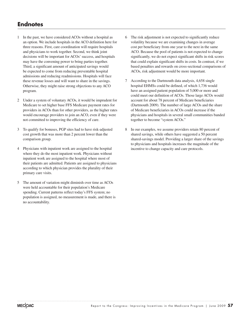## **Endnotes**

- 1 In the past, we have considered ACOs without a hospital as an option. We include hospitals in the ACO definition here for three reasons. First, care coordination will require hospitals and physicians to work together. Second, we think joint decisions will be important for ACOs' success, and hospitals may have the convening power to bring parties together. Third, a significant amount of anticipated savings would be expected to come from reducing preventable hospital admissions and reducing readmissions. Hospitals will face these revenue losses and will want to share in the savings. Otherwise, they might raise strong objections to any ACO program.
- 2 Under a system of voluntary ACOs, it would be imprudent for Medicare to set higher base FFS Medicare payment rates for providers in ACOs than for other providers, as the higher rates would encourage providers to join an ACO, even if they were not committed to improving the efficiency of care.
- 3 To qualify for bonuses, PGP sites had to have risk-adjusted cost growth that was more than 2 percent lower than the comparison group.
- 4 Physicians with inpatient work are assigned to the hospital where they do the most inpatient work. Physicians without inpatient work are assigned to the hospital where most of their patients are admitted. Patients are assigned to physicians according to which physician provides the plurality of their primary care visits.
- 5 The amount of variation might diminish over time as ACOs were held accountable for their population's Medicare spending. Current patterns reflect today's FFS system; no population is assigned, no measurement is made, and there is no accountability.
- 6 The risk adjustment is not expected to significantly reduce volatility because we are examining changes in average cost per beneficiary from one year to the next in the same ACO. Because the pool of patients is not expected to change significantly, we do not expect significant shifts in risk scores that could explain significant shifts in costs. In contrast, if we based penalties and rewards on cross-sectional comparisons of ACOs, risk adjustment would be more important.
- 7 According to the Dartmouth data analysis, 4,658 single hospital EHMSs could be defined, of which 1,736 would have an assigned patient population of 5,000 or more and could meet our definition of ACOs. Those large ACOs would account for about 78 percent of Medicare beneficiaries (Dartmouth 2009). The number of large ACOs and the share of Medicare beneficiaries in ACOs could increase if the physicians and hospitals in several small communities banded together to become "system ACOs."
- 8 In our examples, we assume providers retain 80 percent of shared savings, while others have suggested a 50 percent shared-savings model. Providing a larger share of the savings to physicians and hospitals increases the magnitude of the incentive to change capacity and care protocols.